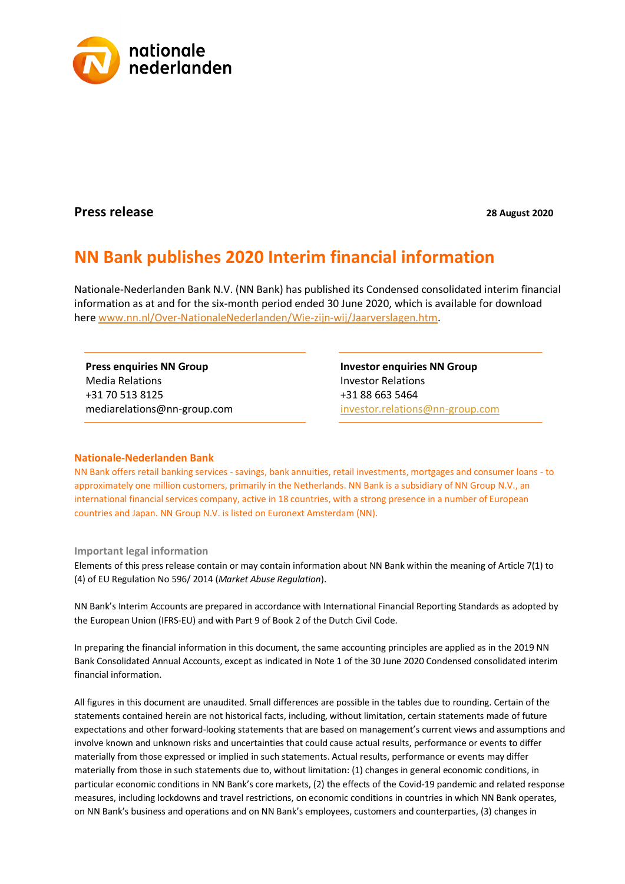

## **Press release 28 August 2020**

## **NN Bank publishes 2020 Interim financial information**

Nationale-Nederlanden Bank N.V. (NN Bank) has published its Condensed consolidated interim financial information as at and for the six-month period ended 30 June 2020, which is available for download here [www.nn.nl/Over-NationaleNederlanden/Wie-zijn-wij/Jaarverslagen.htm.](http://www.nn.nl/Over-NationaleNederlanden/Wie-zijn-wij/Jaarverslagen.htm)

**Press enquiries NN Group** Media Relations +31 70 513 8125 mediarelations@nn-group.com **Investor enquiries NN Group** Investor Relations +31 88 663 5464 [investor.relations@nn-group.com](mailto:investor.relations@nn-group.com)

## **Nationale-Nederlanden Bank**

NN Bank offers retail banking services - savings, bank annuities, retail investments, mortgages and consumer loans - to approximately one million customers, primarily in the Netherlands. NN Bank is a subsidiary of NN Group N.V., an international financial services company, active in 18 countries, with a strong presence in a number of European countries and Japan. NN Group N.V. is listed on Euronext Amsterdam (NN).

## **Important legal information**

Elements of this press release contain or may contain information about NN Bank within the meaning of Article 7(1) to (4) of EU Regulation No 596/ 2014 (*Market Abuse Regulation*).

NN Bank's Interim Accounts are prepared in accordance with International Financial Reporting Standards as adopted by the European Union (IFRS-EU) and with Part 9 of Book 2 of the Dutch Civil Code.

In preparing the financial information in this document, the same accounting principles are applied as in the 2019 NN Bank Consolidated Annual Accounts, except as indicated in Note 1 of the 30 June 2020 Condensed consolidated interim financial information.

All figures in this document are unaudited. Small differences are possible in the tables due to rounding. Certain of the statements contained herein are not historical facts, including, without limitation, certain statements made of future expectations and other forward-looking statements that are based on management's current views and assumptions and involve known and unknown risks and uncertainties that could cause actual results, performance or events to differ materially from those expressed or implied in such statements. Actual results, performance or events may differ materially from those in such statements due to, without limitation: (1) changes in general economic conditions, in particular economic conditions in NN Bank's core markets, (2) the effects of the Covid-19 pandemic and related response measures, including lockdowns and travel restrictions, on economic conditions in countries in which NN Bank operates, on NN Bank's business and operations and on NN Bank's employees, customers and counterparties, (3) changes in